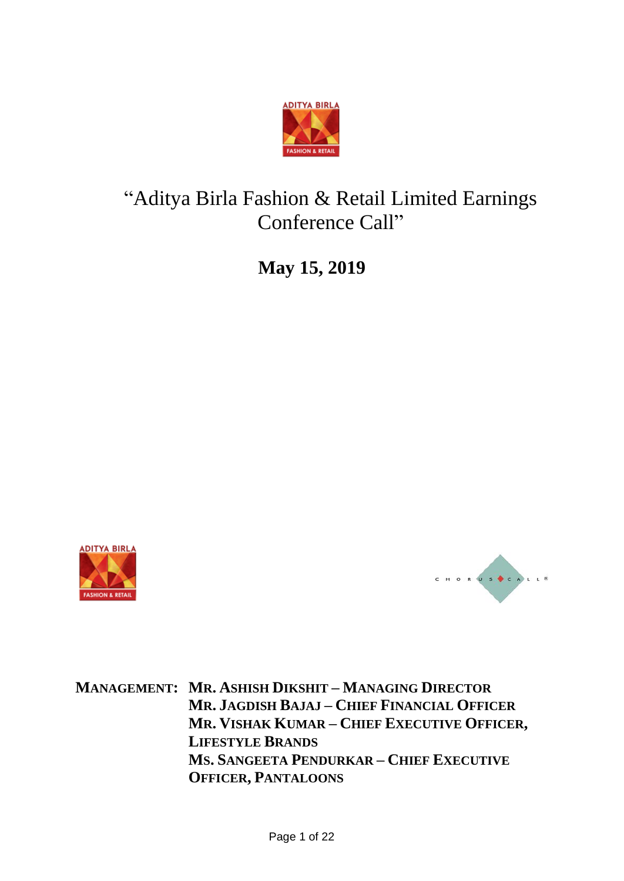

# "Aditya Birla Fashion & Retail Limited Earnings Conference Call"

**May 15, 2019**





**MANAGEMENT: MR. ASHISH DIKSHIT – MANAGING DIRECTOR MR. JAGDISH BAJAJ – CHIEF FINANCIAL OFFICER MR. VISHAK KUMAR – CHIEF EXECUTIVE OFFICER, LIFESTYLE BRANDS MS. SANGEETA PENDURKAR – CHIEF EXECUTIVE OFFICER, PANTALOONS**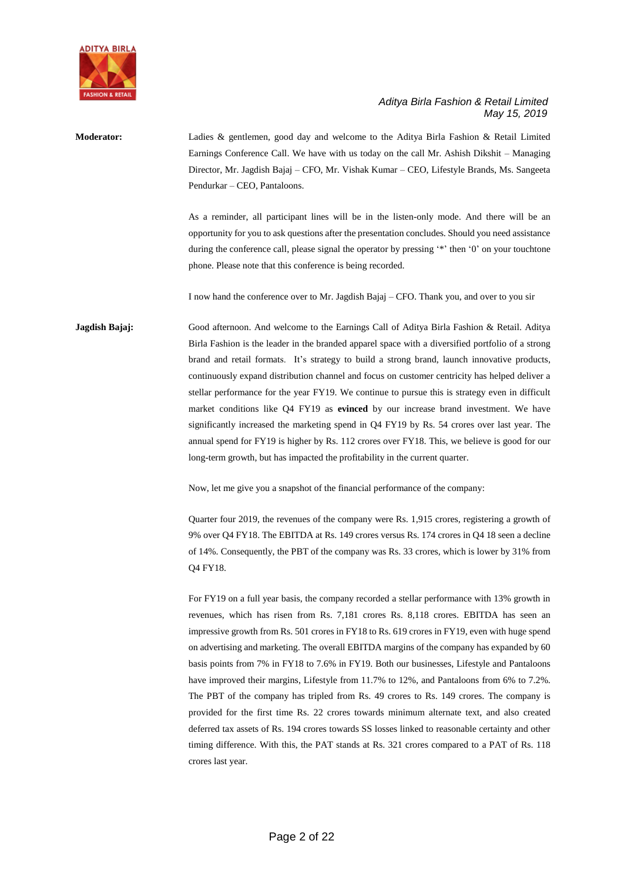

**Moderator:** Ladies & gentlemen, good day and welcome to the Aditya Birla Fashion & Retail Limited Earnings Conference Call. We have with us today on the call Mr. Ashish Dikshit – Managing Director, Mr. Jagdish Bajaj – CFO, Mr. Vishak Kumar – CEO, Lifestyle Brands, Ms. Sangeeta Pendurkar – CEO, Pantaloons.

> As a reminder, all participant lines will be in the listen-only mode. And there will be an opportunity for you to ask questions after the presentation concludes. Should you need assistance during the conference call, please signal the operator by pressing '\*' then '0' on your touchtone phone. Please note that this conference is being recorded.

I now hand the conference over to Mr. Jagdish Bajaj – CFO. Thank you, and over to you sir

**Jagdish Bajaj:** Good afternoon. And welcome to the Earnings Call of Aditya Birla Fashion & Retail. Aditya Birla Fashion is the leader in the branded apparel space with a diversified portfolio of a strong brand and retail formats. It's strategy to build a strong brand, launch innovative products, continuously expand distribution channel and focus on customer centricity has helped deliver a stellar performance for the year FY19. We continue to pursue this is strategy even in difficult market conditions like Q4 FY19 as **evinced** by our increase brand investment. We have significantly increased the marketing spend in Q4 FY19 by Rs. 54 crores over last year. The annual spend for FY19 is higher by Rs. 112 crores over FY18. This, we believe is good for our long-term growth, but has impacted the profitability in the current quarter.

Now, let me give you a snapshot of the financial performance of the company:

Quarter four 2019, the revenues of the company were Rs. 1,915 crores, registering a growth of 9% over Q4 FY18. The EBITDA at Rs. 149 crores versus Rs. 174 crores in Q4 18 seen a decline of 14%. Consequently, the PBT of the company was Rs. 33 crores, which is lower by 31% from Q4 FY18.

For FY19 on a full year basis, the company recorded a stellar performance with 13% growth in revenues, which has risen from Rs. 7,181 crores Rs. 8,118 crores. EBITDA has seen an impressive growth from Rs. 501 crores in FY18 to Rs. 619 crores in FY19, even with huge spend on advertising and marketing. The overall EBITDA margins of the company has expanded by 60 basis points from 7% in FY18 to 7.6% in FY19. Both our businesses, Lifestyle and Pantaloons have improved their margins, Lifestyle from 11.7% to 12%, and Pantaloons from 6% to 7.2%. The PBT of the company has tripled from Rs. 49 crores to Rs. 149 crores. The company is provided for the first time Rs. 22 crores towards minimum alternate text, and also created deferred tax assets of Rs. 194 crores towards SS losses linked to reasonable certainty and other timing difference. With this, the PAT stands at Rs. 321 crores compared to a PAT of Rs. 118 crores last year.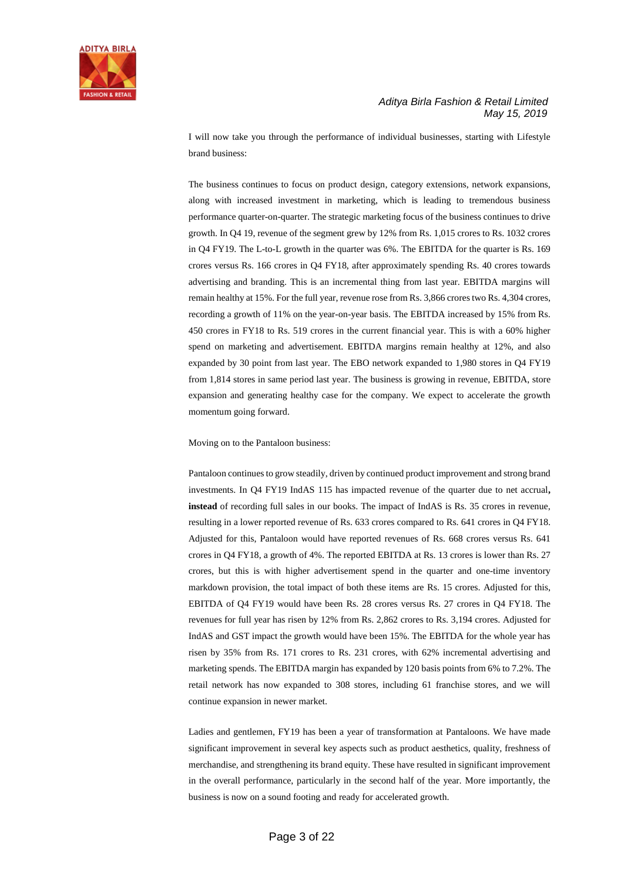

I will now take you through the performance of individual businesses, starting with Lifestyle brand business:

The business continues to focus on product design, category extensions, network expansions, along with increased investment in marketing, which is leading to tremendous business performance quarter-on-quarter. The strategic marketing focus of the business continues to drive growth. In Q4 19, revenue of the segment grew by 12% from Rs. 1,015 crores to Rs. 1032 crores in Q4 FY19. The L-to-L growth in the quarter was 6%. The EBITDA for the quarter is Rs. 169 crores versus Rs. 166 crores in Q4 FY18, after approximately spending Rs. 40 crores towards advertising and branding. This is an incremental thing from last year. EBITDA margins will remain healthy at 15%. For the full year, revenue rose from Rs. 3,866 crores two Rs. 4,304 crores, recording a growth of 11% on the year-on-year basis. The EBITDA increased by 15% from Rs. 450 crores in FY18 to Rs. 519 crores in the current financial year. This is with a 60% higher spend on marketing and advertisement. EBITDA margins remain healthy at 12%, and also expanded by 30 point from last year. The EBO network expanded to 1,980 stores in Q4 FY19 from 1,814 stores in same period last year. The business is growing in revenue, EBITDA, store expansion and generating healthy case for the company. We expect to accelerate the growth momentum going forward.

Moving on to the Pantaloon business:

Pantaloon continues to grow steadily, driven by continued product improvement and strong brand investments. In Q4 FY19 IndAS 115 has impacted revenue of the quarter due to net accrual**, instead** of recording full sales in our books. The impact of IndAS is Rs. 35 crores in revenue, resulting in a lower reported revenue of Rs. 633 crores compared to Rs. 641 crores in Q4 FY18. Adjusted for this, Pantaloon would have reported revenues of Rs. 668 crores versus Rs. 641 crores in Q4 FY18, a growth of 4%. The reported EBITDA at Rs. 13 crores is lower than Rs. 27 crores, but this is with higher advertisement spend in the quarter and one-time inventory markdown provision, the total impact of both these items are Rs. 15 crores. Adjusted for this, EBITDA of Q4 FY19 would have been Rs. 28 crores versus Rs. 27 crores in Q4 FY18. The revenues for full year has risen by 12% from Rs. 2,862 crores to Rs. 3,194 crores. Adjusted for IndAS and GST impact the growth would have been 15%. The EBITDA for the whole year has risen by 35% from Rs. 171 crores to Rs. 231 crores, with 62% incremental advertising and marketing spends. The EBITDA margin has expanded by 120 basis points from 6% to 7.2%. The retail network has now expanded to 308 stores, including 61 franchise stores, and we will continue expansion in newer market.

Ladies and gentlemen, FY19 has been a year of transformation at Pantaloons. We have made significant improvement in several key aspects such as product aesthetics, quality, freshness of merchandise, and strengthening its brand equity. These have resulted in significant improvement in the overall performance, particularly in the second half of the year. More importantly, the business is now on a sound footing and ready for accelerated growth.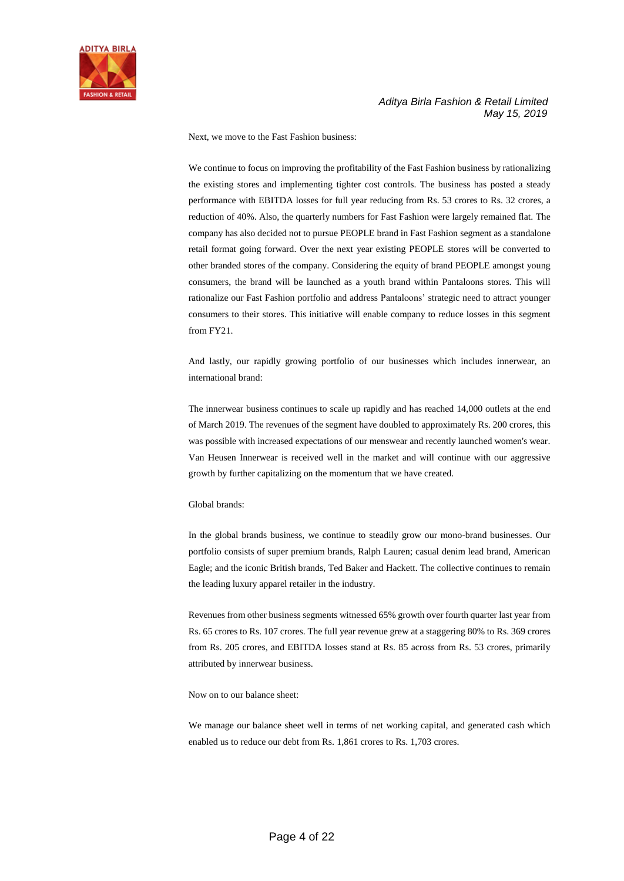

Next, we move to the Fast Fashion business:

We continue to focus on improving the profitability of the Fast Fashion business by rationalizing the existing stores and implementing tighter cost controls. The business has posted a steady performance with EBITDA losses for full year reducing from Rs. 53 crores to Rs. 32 crores, a reduction of 40%. Also, the quarterly numbers for Fast Fashion were largely remained flat. The company has also decided not to pursue PEOPLE brand in Fast Fashion segment as a standalone retail format going forward. Over the next year existing PEOPLE stores will be converted to other branded stores of the company. Considering the equity of brand PEOPLE amongst young consumers, the brand will be launched as a youth brand within Pantaloons stores. This will rationalize our Fast Fashion portfolio and address Pantaloons' strategic need to attract younger consumers to their stores. This initiative will enable company to reduce losses in this segment from FY21.

And lastly, our rapidly growing portfolio of our businesses which includes innerwear, an international brand:

The innerwear business continues to scale up rapidly and has reached 14,000 outlets at the end of March 2019. The revenues of the segment have doubled to approximately Rs. 200 crores, this was possible with increased expectations of our menswear and recently launched women's wear. Van Heusen Innerwear is received well in the market and will continue with our aggressive growth by further capitalizing on the momentum that we have created.

#### Global brands:

In the global brands business, we continue to steadily grow our mono-brand businesses. Our portfolio consists of super premium brands, Ralph Lauren; casual denim lead brand, American Eagle; and the iconic British brands, Ted Baker and Hackett. The collective continues to remain the leading luxury apparel retailer in the industry.

Revenues from other business segments witnessed 65% growth over fourth quarter last year from Rs. 65 crores to Rs. 107 crores. The full year revenue grew at a staggering 80% to Rs. 369 crores from Rs. 205 crores, and EBITDA losses stand at Rs. 85 across from Rs. 53 crores, primarily attributed by innerwear business.

#### Now on to our balance sheet:

We manage our balance sheet well in terms of net working capital, and generated cash which enabled us to reduce our debt from Rs. 1,861 crores to Rs. 1,703 crores.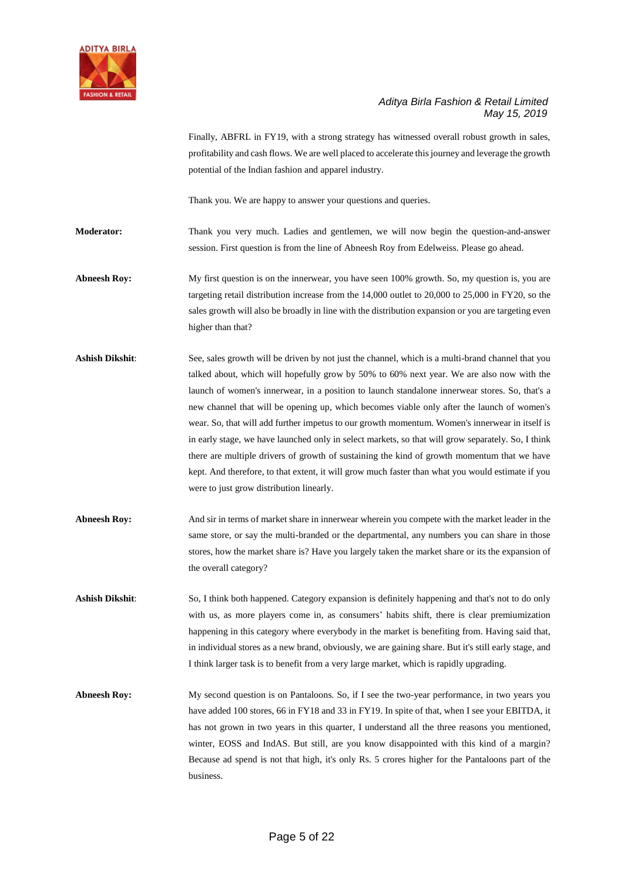

Finally, ABFRL in FY19, with a strong strategy has witnessed overall robust growth in sales, profitability and cash flows. We are well placed to accelerate this journey and leverage the growth potential of the Indian fashion and apparel industry.

Thank you. We are happy to answer your questions and queries.

**Moderator:** Thank you very much. Ladies and gentlemen, we will now begin the question-and-answer session. First question is from the line of Abneesh Roy from Edelweiss. Please go ahead.

**Abneesh Roy:** My first question is on the innerwear, you have seen 100% growth. So, my question is, you are targeting retail distribution increase from the 14,000 outlet to 20,000 to 25,000 in FY20, so the sales growth will also be broadly in line with the distribution expansion or you are targeting even higher than that?

- **Ashish Dikshit**: See, sales growth will be driven by not just the channel, which is a multi-brand channel that you talked about, which will hopefully grow by 50% to 60% next year. We are also now with the launch of women's innerwear, in a position to launch standalone innerwear stores. So, that's a new channel that will be opening up, which becomes viable only after the launch of women's wear. So, that will add further impetus to our growth momentum. Women's innerwear in itself is in early stage, we have launched only in select markets, so that will grow separately. So, I think there are multiple drivers of growth of sustaining the kind of growth momentum that we have kept. And therefore, to that extent, it will grow much faster than what you would estimate if you were to just grow distribution linearly.
- Abneesh Roy: And sir in terms of market share in innerwear wherein you compete with the market leader in the same store, or say the multi-branded or the departmental, any numbers you can share in those stores, how the market share is? Have you largely taken the market share or its the expansion of the overall category?
- **Ashish Dikshit**: So, I think both happened. Category expansion is definitely happening and that's not to do only with us, as more players come in, as consumers' habits shift, there is clear premiumization happening in this category where everybody in the market is benefiting from. Having said that, in individual stores as a new brand, obviously, we are gaining share. But it's still early stage, and I think larger task is to benefit from a very large market, which is rapidly upgrading.
- Abneesh Roy: My second question is on Pantaloons. So, if I see the two-year performance, in two years you have added 100 stores, 66 in FY18 and 33 in FY19. In spite of that, when I see your EBITDA, it has not grown in two years in this quarter, I understand all the three reasons you mentioned, winter, EOSS and IndAS. But still, are you know disappointed with this kind of a margin? Because ad spend is not that high, it's only Rs. 5 crores higher for the Pantaloons part of the business.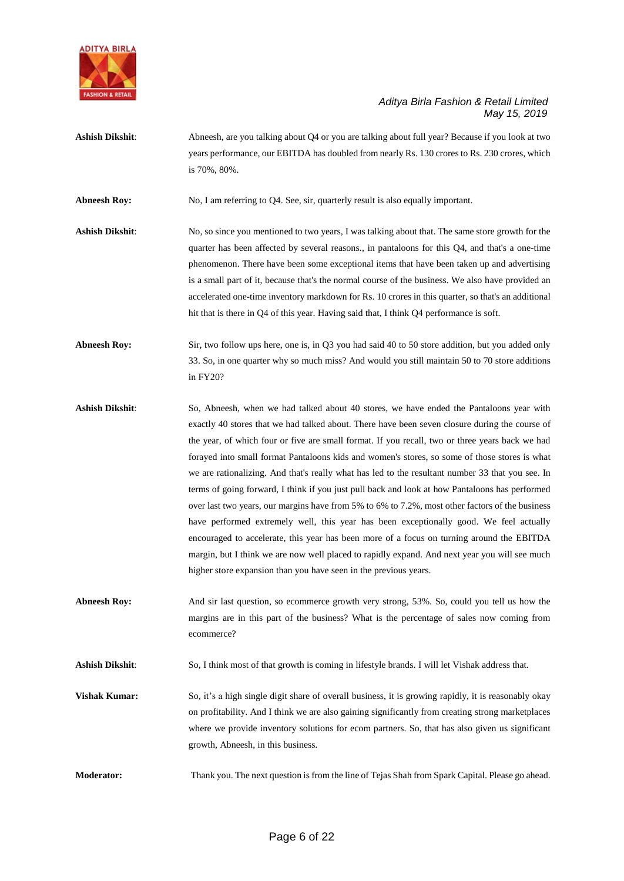

**Ashish Dikshit**: Abneesh, are you talking about Q4 or you are talking about full year? Because if you look at two years performance, our EBITDA has doubled from nearly Rs. 130 crores to Rs. 230 crores, which is 70%, 80%.

**Abneesh Roy:** No, I am referring to Q4. See, sir, quarterly result is also equally important.

**Ashish Dikshit**: No, so since you mentioned to two years, I was talking about that. The same store growth for the quarter has been affected by several reasons., in pantaloons for this Q4, and that's a one-time phenomenon. There have been some exceptional items that have been taken up and advertising is a small part of it, because that's the normal course of the business. We also have provided an accelerated one-time inventory markdown for Rs. 10 crores in this quarter, so that's an additional hit that is there in Q4 of this year. Having said that, I think Q4 performance is soft.

**Abneesh Roy:** Sir, two follow ups here, one is, in Q3 you had said 40 to 50 store addition, but you added only 33. So, in one quarter why so much miss? And would you still maintain 50 to 70 store additions in FY20?

- **Ashish Dikshit**: So, Abneesh, when we had talked about 40 stores, we have ended the Pantaloons year with exactly 40 stores that we had talked about. There have been seven closure during the course of the year, of which four or five are small format. If you recall, two or three years back we had forayed into small format Pantaloons kids and women's stores, so some of those stores is what we are rationalizing. And that's really what has led to the resultant number 33 that you see. In terms of going forward, I think if you just pull back and look at how Pantaloons has performed over last two years, our margins have from 5% to 6% to 7.2%, most other factors of the business have performed extremely well, this year has been exceptionally good. We feel actually encouraged to accelerate, this year has been more of a focus on turning around the EBITDA margin, but I think we are now well placed to rapidly expand. And next year you will see much higher store expansion than you have seen in the previous years.
- **Abneesh Roy:** And sir last question, so ecommerce growth very strong, 53%. So, could you tell us how the margins are in this part of the business? What is the percentage of sales now coming from ecommerce?

**Ashish Dikshit**: So, I think most of that growth is coming in lifestyle brands. I will let Vishak address that.

**Vishak Kumar:** So, it's a high single digit share of overall business, it is growing rapidly, it is reasonably okay on profitability. And I think we are also gaining significantly from creating strong marketplaces where we provide inventory solutions for ecom partners. So, that has also given us significant growth, Abneesh, in this business.

**Moderator:** Thank you. The next question is from the line of Tejas Shah from Spark Capital. Please go ahead.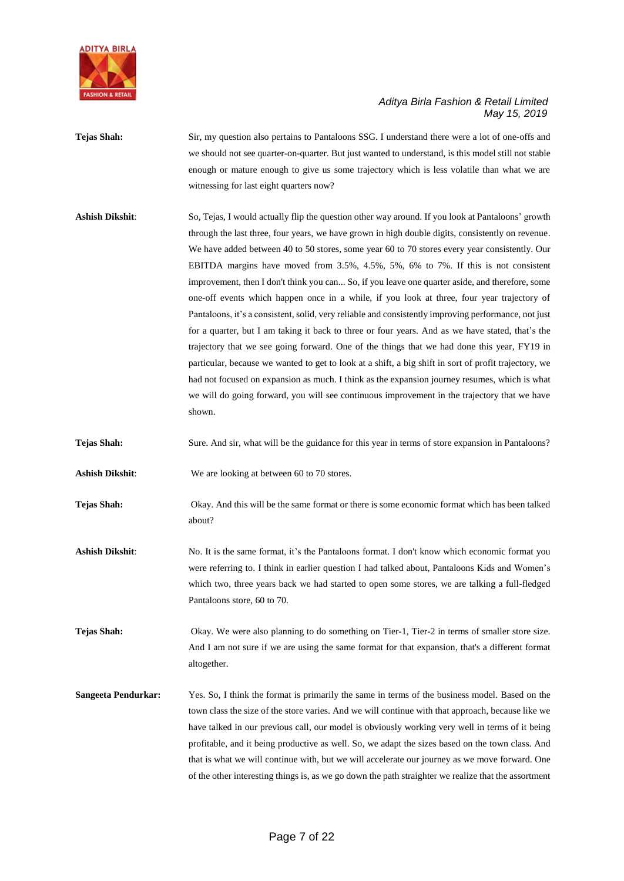

**Tejas Shah:** Sir, my question also pertains to Pantaloons SSG. I understand there were a lot of one-offs and we should not see quarter-on-quarter. But just wanted to understand, is this model still not stable enough or mature enough to give us some trajectory which is less volatile than what we are witnessing for last eight quarters now?

**Ashish Dikshit**: So, Tejas, I would actually flip the question other way around. If you look at Pantaloons' growth through the last three, four years, we have grown in high double digits, consistently on revenue. We have added between 40 to 50 stores, some year 60 to 70 stores every year consistently. Our EBITDA margins have moved from 3.5%, 4.5%, 5%, 6% to 7%. If this is not consistent improvement, then I don't think you can... So, if you leave one quarter aside, and therefore, some one-off events which happen once in a while, if you look at three, four year trajectory of Pantaloons, it's a consistent, solid, very reliable and consistently improving performance, not just for a quarter, but I am taking it back to three or four years. And as we have stated, that's the trajectory that we see going forward. One of the things that we had done this year, FY19 in particular, because we wanted to get to look at a shift, a big shift in sort of profit trajectory, we had not focused on expansion as much. I think as the expansion journey resumes, which is what we will do going forward, you will see continuous improvement in the trajectory that we have shown.

**Tejas Shah:** Sure. And sir, what will be the guidance for this year in terms of store expansion in Pantaloons?

**Ashish Dikshit**: We are looking at between 60 to 70 stores.

**Tejas Shah:** Okay. And this will be the same format or there is some economic format which has been talked about?

**Ashish Dikshit:** No. It is the same format, it's the Pantaloons format. I don't know which economic format you were referring to. I think in earlier question I had talked about, Pantaloons Kids and Women's which two, three years back we had started to open some stores, we are talking a full-fledged Pantaloons store, 60 to 70.

**Tejas Shah:** Okay. We were also planning to do something on Tier-1, Tier-2 in terms of smaller store size. And I am not sure if we are using the same format for that expansion, that's a different format altogether.

**Sangeeta Pendurkar:** Yes. So, I think the format is primarily the same in terms of the business model. Based on the town class the size of the store varies. And we will continue with that approach, because like we have talked in our previous call, our model is obviously working very well in terms of it being profitable, and it being productive as well. So, we adapt the sizes based on the town class. And that is what we will continue with, but we will accelerate our journey as we move forward. One of the other interesting things is, as we go down the path straighter we realize that the assortment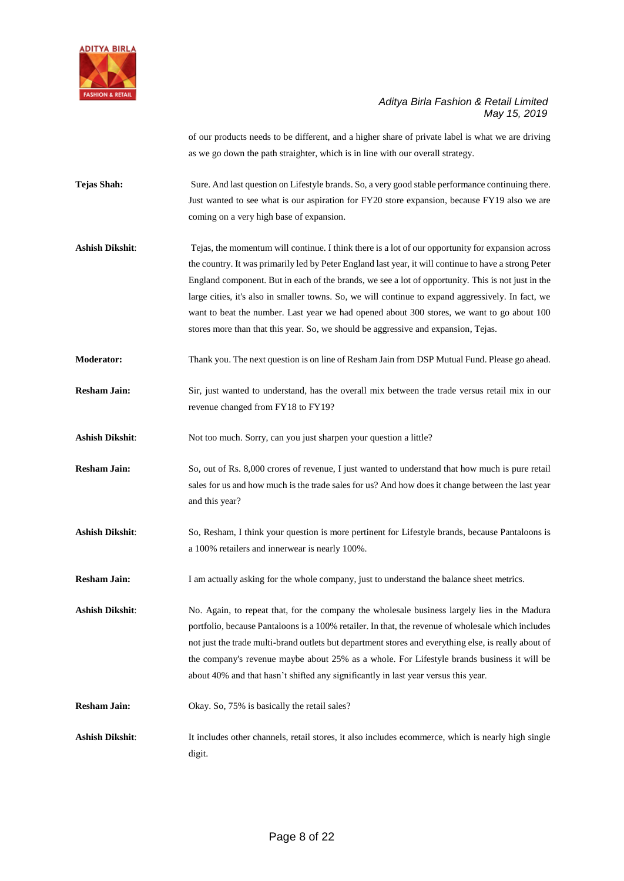

of our products needs to be different, and a higher share of private label is what we are driving as we go down the path straighter, which is in line with our overall strategy.

- **Tejas Shah:** Sure. And last question on Lifestyle brands. So, a very good stable performance continuing there. Just wanted to see what is our aspiration for FY20 store expansion, because FY19 also we are coming on a very high base of expansion.
- **Ashish Dikshit**: Tejas, the momentum will continue. I think there is a lot of our opportunity for expansion across the country. It was primarily led by Peter England last year, it will continue to have a strong Peter England component. But in each of the brands, we see a lot of opportunity. This is not just in the large cities, it's also in smaller towns. So, we will continue to expand aggressively. In fact, we want to beat the number. Last year we had opened about 300 stores, we want to go about 100 stores more than that this year. So, we should be aggressive and expansion, Tejas.
- **Moderator:** Thank you. The next question is on line of Resham Jain from DSP Mutual Fund. Please go ahead.
- **Resham Jain:** Sir, just wanted to understand, has the overall mix between the trade versus retail mix in our revenue changed from FY18 to FY19?
- Ashish Dikshit: Not too much. Sorry, can you just sharpen your question a little?
- **Resham Jain:** So, out of Rs. 8,000 crores of revenue, I just wanted to understand that how much is pure retail sales for us and how much is the trade sales for us? And how does it change between the last year and this year?
- **Ashish Dikshit**: So, Resham, I think your question is more pertinent for Lifestyle brands, because Pantaloons is a 100% retailers and innerwear is nearly 100%.
- **Resham Jain:** I am actually asking for the whole company, just to understand the balance sheet metrics.

Ashish Dikshit: No. Again, to repeat that, for the company the wholesale business largely lies in the Madura portfolio, because Pantaloons is a 100% retailer. In that, the revenue of wholesale which includes not just the trade multi-brand outlets but department stores and everything else, is really about of the company's revenue maybe about 25% as a whole. For Lifestyle brands business it will be about 40% and that hasn't shifted any significantly in last year versus this year.

- **Resham Jain:** Okay. So, 75% is basically the retail sales?
- Ashish Dikshit: It includes other channels, retail stores, it also includes ecommerce, which is nearly high single digit.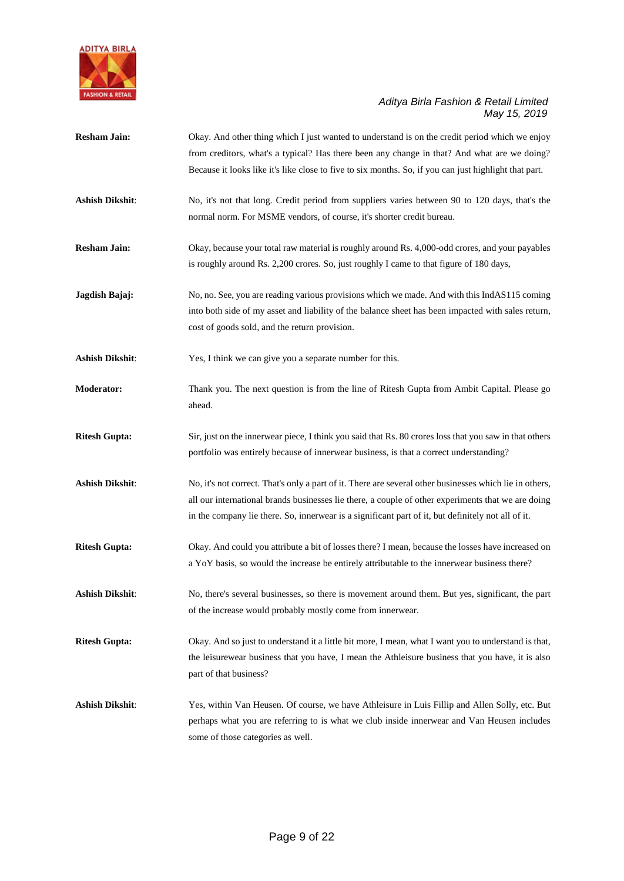

- **Resham Jain:** Okay. And other thing which I just wanted to understand is on the credit period which we enjoy from creditors, what's a typical? Has there been any change in that? And what are we doing? Because it looks like it's like close to five to six months. So, if you can just highlight that part.
- **Ashish Dikshit**: No, it's not that long. Credit period from suppliers varies between 90 to 120 days, that's the normal norm. For MSME vendors, of course, it's shorter credit bureau.
- **Resham Jain:** Okay, because your total raw material is roughly around Rs. 4,000-odd crores, and your payables is roughly around Rs. 2,200 crores. So, just roughly I came to that figure of 180 days,
- **Jagdish Bajaj:** No, no. See, you are reading various provisions which we made. And with this IndAS115 coming into both side of my asset and liability of the balance sheet has been impacted with sales return, cost of goods sold, and the return provision.
- **Ashish Dikshit**: Yes, I think we can give you a separate number for this.
- **Moderator:** Thank you. The next question is from the line of Ritesh Gupta from Ambit Capital. Please go ahead.
- **Ritesh Gupta:** Sir, just on the innerwear piece, I think you said that Rs. 80 crores loss that you saw in that others portfolio was entirely because of innerwear business, is that a correct understanding?
- **Ashish Dikshit**: No, it's not correct. That's only a part of it. There are several other businesses which lie in others, all our international brands businesses lie there, a couple of other experiments that we are doing in the company lie there. So, innerwear is a significant part of it, but definitely not all of it.
- **Ritesh Gupta:** Okay. And could you attribute a bit of losses there? I mean, because the losses have increased on a YoY basis, so would the increase be entirely attributable to the innerwear business there?
- **Ashish Dikshit**: No, there's several businesses, so there is movement around them. But yes, significant, the part of the increase would probably mostly come from innerwear.
- **Ritesh Gupta:** Okay. And so just to understand it a little bit more, I mean, what I want you to understand is that, the leisurewear business that you have, I mean the Athleisure business that you have, it is also part of that business?
- **Ashish Dikshit**: Yes, within Van Heusen. Of course, we have Athleisure in Luis Fillip and Allen Solly, etc. But perhaps what you are referring to is what we club inside innerwear and Van Heusen includes some of those categories as well.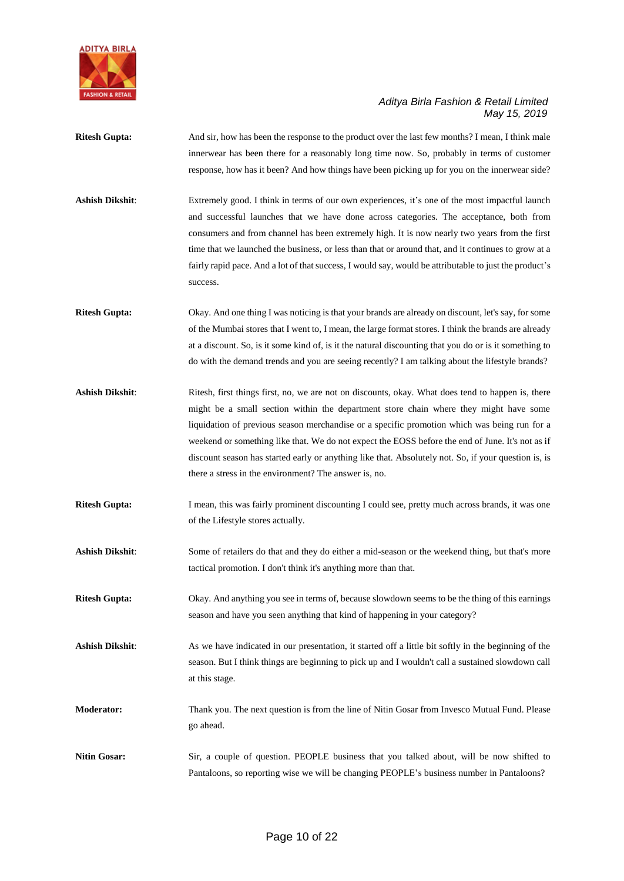

- **Ritesh Gupta:** And sir, how has been the response to the product over the last few months? I mean, I think male innerwear has been there for a reasonably long time now. So, probably in terms of customer response, how has it been? And how things have been picking up for you on the innerwear side?
- Ashish Dikshit: Extremely good. I think in terms of our own experiences, it's one of the most impactful launch and successful launches that we have done across categories. The acceptance, both from consumers and from channel has been extremely high. It is now nearly two years from the first time that we launched the business, or less than that or around that, and it continues to grow at a fairly rapid pace. And a lot of that success, I would say, would be attributable to just the product's success.
- **Ritesh Gupta:** Okay. And one thing I was noticing is that your brands are already on discount, let's say, for some of the Mumbai stores that I went to, I mean, the large format stores. I think the brands are already at a discount. So, is it some kind of, is it the natural discounting that you do or is it something to do with the demand trends and you are seeing recently? I am talking about the lifestyle brands?
- Ashish Dikshit: Ritesh, first things first, no, we are not on discounts, okay. What does tend to happen is, there might be a small section within the department store chain where they might have some liquidation of previous season merchandise or a specific promotion which was being run for a weekend or something like that. We do not expect the EOSS before the end of June. It's not as if discount season has started early or anything like that. Absolutely not. So, if your question is, is there a stress in the environment? The answer is, no.
- **Ritesh Gupta:** I mean, this was fairly prominent discounting I could see, pretty much across brands, it was one of the Lifestyle stores actually.
- Ashish Dikshit: Some of retailers do that and they do either a mid-season or the weekend thing, but that's more tactical promotion. I don't think it's anything more than that.
- **Ritesh Gupta:** Okay. And anything you see in terms of, because slowdown seems to be the thing of this earnings season and have you seen anything that kind of happening in your category?
- Ashish Dikshit: As we have indicated in our presentation, it started off a little bit softly in the beginning of the season. But I think things are beginning to pick up and I wouldn't call a sustained slowdown call at this stage.
- **Moderator:** Thank you. The next question is from the line of Nitin Gosar from Invesco Mutual Fund. Please go ahead.
- **Nitin Gosar:** Sir, a couple of question. PEOPLE business that you talked about, will be now shifted to Pantaloons, so reporting wise we will be changing PEOPLE's business number in Pantaloons?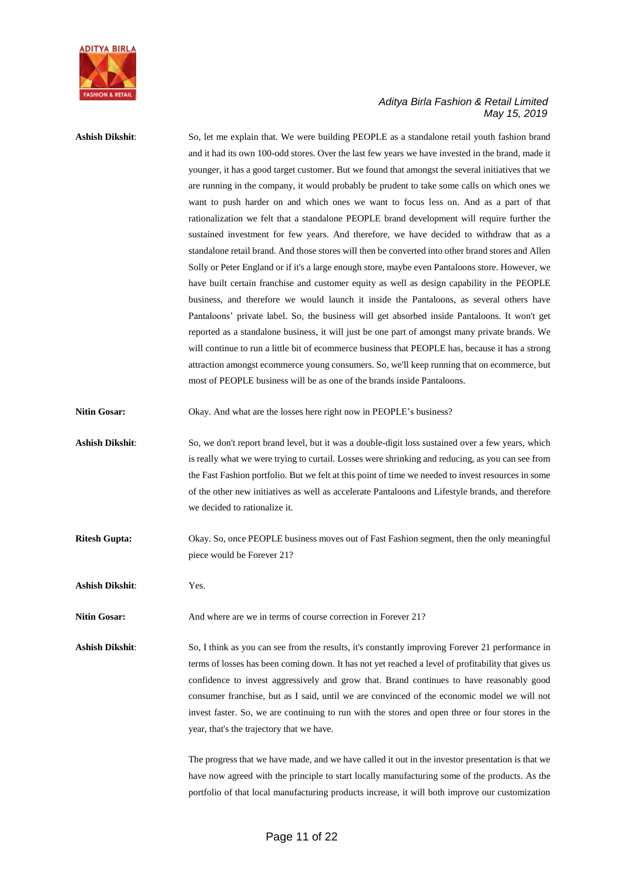

**Ashish Dikshit**: So, let me explain that. We were building PEOPLE as a standalone retail youth fashion brand and it had its own 100-odd stores. Over the last few years we have invested in the brand, made it younger, it has a good target customer. But we found that amongst the several initiatives that we are running in the company, it would probably be prudent to take some calls on which ones we want to push harder on and which ones we want to focus less on. And as a part of that rationalization we felt that a standalone PEOPLE brand development will require further the sustained investment for few years. And therefore, we have decided to withdraw that as a standalone retail brand. And those stores will then be converted into other brand stores and Allen Solly or Peter England or if it's a large enough store, maybe even Pantaloons store. However, we have built certain franchise and customer equity as well as design capability in the PEOPLE business, and therefore we would launch it inside the Pantaloons, as several others have Pantaloons' private label. So, the business will get absorbed inside Pantaloons. It won't get reported as a standalone business, it will just be one part of amongst many private brands. We will continue to run a little bit of ecommerce business that PEOPLE has, because it has a strong attraction amongst ecommerce young consumers. So, we'll keep running that on ecommerce, but most of PEOPLE business will be as one of the brands inside Pantaloons.

**Nitin Gosar:** Okay. And what are the losses here right now in PEOPLE's business?

- **Ashish Dikshit**: So, we don't report brand level, but it was a double-digit loss sustained over a few years, which is really what we were trying to curtail. Losses were shrinking and reducing, as you can see from the Fast Fashion portfolio. But we felt at this point of time we needed to invest resources in some of the other new initiatives as well as accelerate Pantaloons and Lifestyle brands, and therefore we decided to rationalize it.
- **Ritesh Gupta:** Okay. So, once PEOPLE business moves out of Fast Fashion segment, then the only meaningful piece would be Forever 21?

**Ashish Dikshit**: Yes.

**Nitin Gosar:** And where are we in terms of course correction in Forever 21?

**Ashish Dikshit**: So, I think as you can see from the results, it's constantly improving Forever 21 performance in terms of losses has been coming down. It has not yet reached a level of profitability that gives us confidence to invest aggressively and grow that. Brand continues to have reasonably good consumer franchise, but as I said, until we are convinced of the economic model we will not invest faster. So, we are continuing to run with the stores and open three or four stores in the year, that's the trajectory that we have.

> The progress that we have made, and we have called it out in the investor presentation is that we have now agreed with the principle to start locally manufacturing some of the products. As the portfolio of that local manufacturing products increase, it will both improve our customization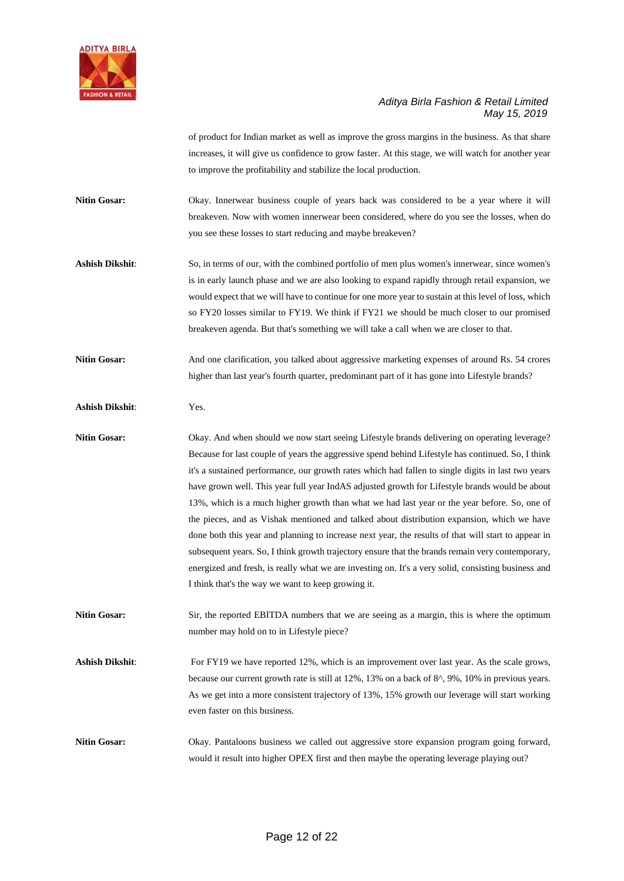

of product for Indian market as well as improve the gross margins in the business. As that share increases, it will give us confidence to grow faster. At this stage, we will watch for another year to improve the profitability and stabilize the local production.

**Nitin Gosar:** Okay. Innerwear business couple of years back was considered to be a year where it will breakeven. Now with women innerwear been considered, where do you see the losses, when do you see these losses to start reducing and maybe breakeven?

**Ashish Dikshit**: So, in terms of our, with the combined portfolio of men plus women's innerwear, since women's is in early launch phase and we are also looking to expand rapidly through retail expansion, we would expect that we will have to continue for one more year to sustain at this level of loss, which so FY20 losses similar to FY19. We think if FY21 we should be much closer to our promised breakeven agenda. But that's something we will take a call when we are closer to that.

**Nitin Gosar:** And one clarification, you talked about aggressive marketing expenses of around Rs. 54 crores higher than last year's fourth quarter, predominant part of it has gone into Lifestyle brands?

**Ashish Dikshit**: Yes.

Nitin Gosar: Okay. And when should we now start seeing Lifestyle brands delivering on operating leverage? Because for last couple of years the aggressive spend behind Lifestyle has continued. So, I think it's a sustained performance, our growth rates which had fallen to single digits in last two years have grown well. This year full year IndAS adjusted growth for Lifestyle brands would be about 13%, which is a much higher growth than what we had last year or the year before. So, one of the pieces, and as Vishak mentioned and talked about distribution expansion, which we have done both this year and planning to increase next year, the results of that will start to appear in subsequent years. So, I think growth trajectory ensure that the brands remain very contemporary, energized and fresh, is really what we are investing on. It's a very solid, consisting business and I think that's the way we want to keep growing it.

**Nitin Gosar:** Sir, the reported EBITDA numbers that we are seeing as a margin, this is where the optimum number may hold on to in Lifestyle piece?

Ashish Dikshit: For FY19 we have reported 12%, which is an improvement over last year. As the scale grows, because our current growth rate is still at 12%, 13% on a back of 8^, 9%, 10% in previous years. As we get into a more consistent trajectory of 13%, 15% growth our leverage will start working even faster on this business.

**Nitin Gosar:** Okay. Pantaloons business we called out aggressive store expansion program going forward, would it result into higher OPEX first and then maybe the operating leverage playing out?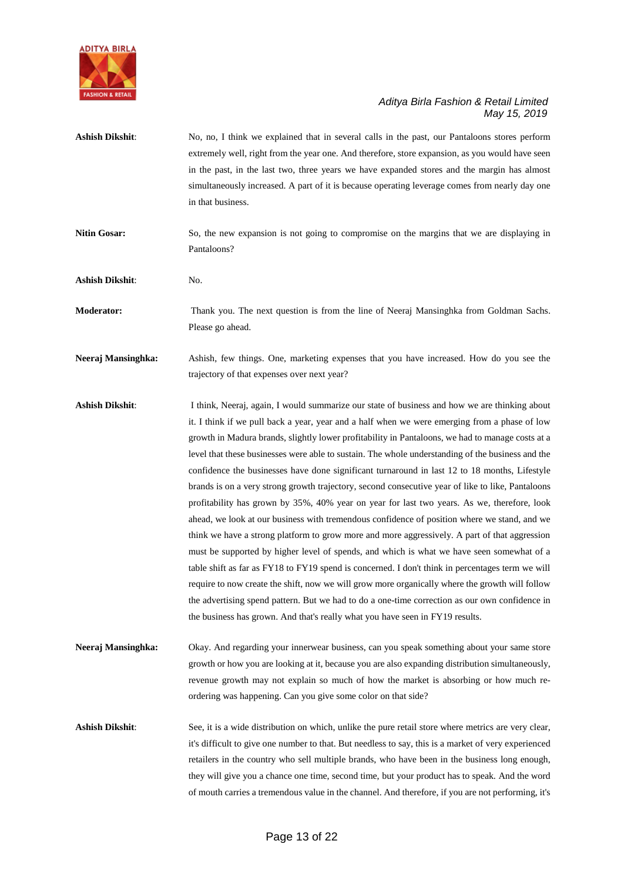

- **Ashish Dikshit**: No, no, I think we explained that in several calls in the past, our Pantaloons stores perform extremely well, right from the year one. And therefore, store expansion, as you would have seen in the past, in the last two, three years we have expanded stores and the margin has almost simultaneously increased. A part of it is because operating leverage comes from nearly day one in that business.
- **Nitin Gosar:** So, the new expansion is not going to compromise on the margins that we are displaying in Pantaloons?
- **Ashish Dikshit**: No.

**Moderator:** Thank you. The next question is from the line of Neeraj Mansinghka from Goldman Sachs. Please go ahead.

**Neeraj Mansinghka:** Ashish, few things. One, marketing expenses that you have increased. How do you see the trajectory of that expenses over next year?

- Ashish Dikshit: I think, Neeraj, again, I would summarize our state of business and how we are thinking about it. I think if we pull back a year, year and a half when we were emerging from a phase of low growth in Madura brands, slightly lower profitability in Pantaloons, we had to manage costs at a level that these businesses were able to sustain. The whole understanding of the business and the confidence the businesses have done significant turnaround in last 12 to 18 months, Lifestyle brands is on a very strong growth trajectory, second consecutive year of like to like, Pantaloons profitability has grown by 35%, 40% year on year for last two years. As we, therefore, look ahead, we look at our business with tremendous confidence of position where we stand, and we think we have a strong platform to grow more and more aggressively. A part of that aggression must be supported by higher level of spends, and which is what we have seen somewhat of a table shift as far as FY18 to FY19 spend is concerned. I don't think in percentages term we will require to now create the shift, now we will grow more organically where the growth will follow the advertising spend pattern. But we had to do a one-time correction as our own confidence in the business has grown. And that's really what you have seen in FY19 results.
- **Neeraj Mansinghka:** Okay. And regarding your innerwear business, can you speak something about your same store growth or how you are looking at it, because you are also expanding distribution simultaneously, revenue growth may not explain so much of how the market is absorbing or how much reordering was happening. Can you give some color on that side?

**Ashish Dikshit**: See, it is a wide distribution on which, unlike the pure retail store where metrics are very clear, it's difficult to give one number to that. But needless to say, this is a market of very experienced retailers in the country who sell multiple brands, who have been in the business long enough, they will give you a chance one time, second time, but your product has to speak. And the word of mouth carries a tremendous value in the channel. And therefore, if you are not performing, it's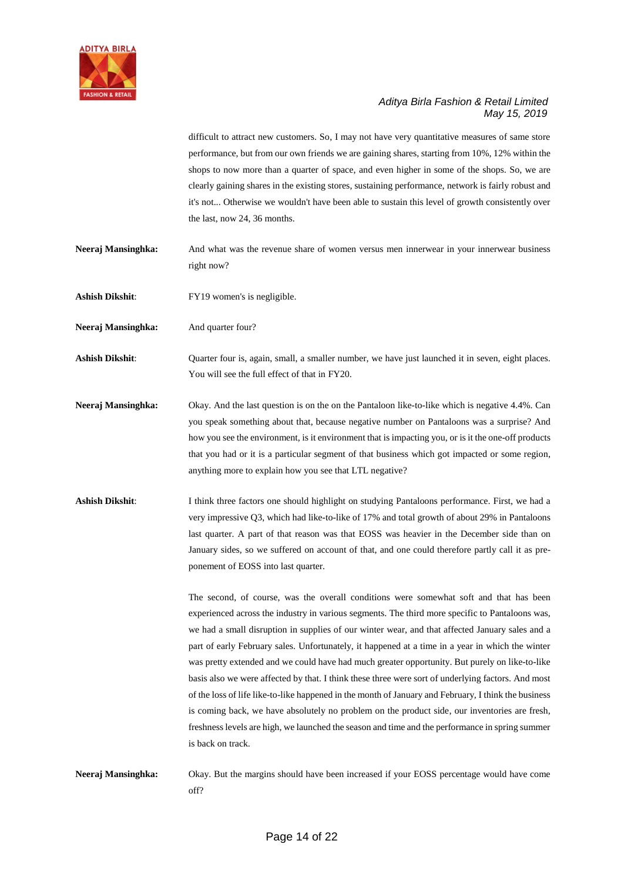

difficult to attract new customers. So, I may not have very quantitative measures of same store performance, but from our own friends we are gaining shares, starting from 10%, 12% within the shops to now more than a quarter of space, and even higher in some of the shops. So, we are clearly gaining shares in the existing stores, sustaining performance, network is fairly robust and it's not... Otherwise we wouldn't have been able to sustain this level of growth consistently over the last, now 24, 36 months.

- **Neeraj Mansinghka:** And what was the revenue share of women versus men innerwear in your innerwear business right now?
- **Ashish Dikshit**: FY19 women's is negligible.

**Neeraj Mansinghka:** And quarter four?

**Ashish Dikshit**: Quarter four is, again, small, a smaller number, we have just launched it in seven, eight places. You will see the full effect of that in FY20.

- **Neeraj Mansinghka:** Okay. And the last question is on the on the Pantaloon like-to-like which is negative 4.4%. Can you speak something about that, because negative number on Pantaloons was a surprise? And how you see the environment, is it environment that is impacting you, or is it the one-off products that you had or it is a particular segment of that business which got impacted or some region, anything more to explain how you see that LTL negative?
- Ashish Dikshit: I think three factors one should highlight on studying Pantaloons performance. First, we had a very impressive Q3, which had like-to-like of 17% and total growth of about 29% in Pantaloons last quarter. A part of that reason was that EOSS was heavier in the December side than on January sides, so we suffered on account of that, and one could therefore partly call it as preponement of EOSS into last quarter.

The second, of course, was the overall conditions were somewhat soft and that has been experienced across the industry in various segments. The third more specific to Pantaloons was, we had a small disruption in supplies of our winter wear, and that affected January sales and a part of early February sales. Unfortunately, it happened at a time in a year in which the winter was pretty extended and we could have had much greater opportunity. But purely on like-to-like basis also we were affected by that. I think these three were sort of underlying factors. And most of the loss of life like-to-like happened in the month of January and February, I think the business is coming back, we have absolutely no problem on the product side, our inventories are fresh, freshness levels are high, we launched the season and time and the performance in spring summer is back on track.

**Neeraj Mansinghka:** Okay. But the margins should have been increased if your EOSS percentage would have come off?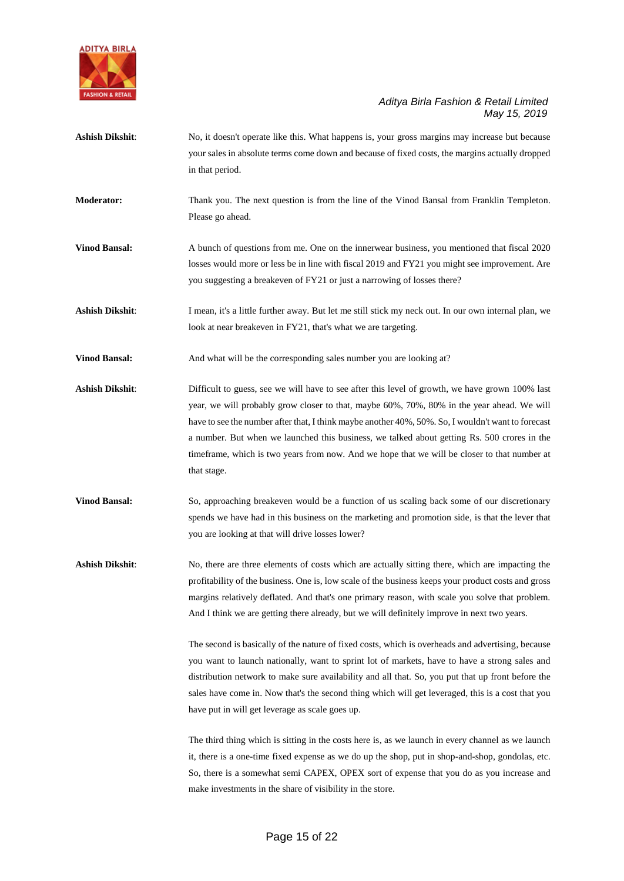

- Ashish Dikshit: No, it doesn't operate like this. What happens is, your gross margins may increase but because your sales in absolute terms come down and because of fixed costs, the margins actually dropped in that period.
- **Moderator:** Thank you. The next question is from the line of the Vinod Bansal from Franklin Templeton. Please go ahead.
- **Vinod Bansal:** A bunch of questions from me. One on the innerwear business, you mentioned that fiscal 2020 losses would more or less be in line with fiscal 2019 and FY21 you might see improvement. Are you suggesting a breakeven of FY21 or just a narrowing of losses there?
- Ashish Dikshit: I mean, it's a little further away. But let me still stick my neck out. In our own internal plan, we look at near breakeven in FY21, that's what we are targeting.
- **Vinod Bansal:** And what will be the corresponding sales number you are looking at?
- Ashish Dikshit: Difficult to guess, see we will have to see after this level of growth, we have grown 100% last year, we will probably grow closer to that, maybe 60%, 70%, 80% in the year ahead. We will have to see the number after that, I think maybe another 40%, 50%. So, I wouldn't want to forecast a number. But when we launched this business, we talked about getting Rs. 500 crores in the timeframe, which is two years from now. And we hope that we will be closer to that number at that stage.
- **Vinod Bansal:** So, approaching breakeven would be a function of us scaling back some of our discretionary spends we have had in this business on the marketing and promotion side, is that the lever that you are looking at that will drive losses lower?

Ashish Dikshit: No, there are three elements of costs which are actually sitting there, which are impacting the profitability of the business. One is, low scale of the business keeps your product costs and gross margins relatively deflated. And that's one primary reason, with scale you solve that problem. And I think we are getting there already, but we will definitely improve in next two years.

> The second is basically of the nature of fixed costs, which is overheads and advertising, because you want to launch nationally, want to sprint lot of markets, have to have a strong sales and distribution network to make sure availability and all that. So, you put that up front before the sales have come in. Now that's the second thing which will get leveraged, this is a cost that you have put in will get leverage as scale goes up.

> The third thing which is sitting in the costs here is, as we launch in every channel as we launch it, there is a one-time fixed expense as we do up the shop, put in shop-and-shop, gondolas, etc. So, there is a somewhat semi CAPEX, OPEX sort of expense that you do as you increase and make investments in the share of visibility in the store.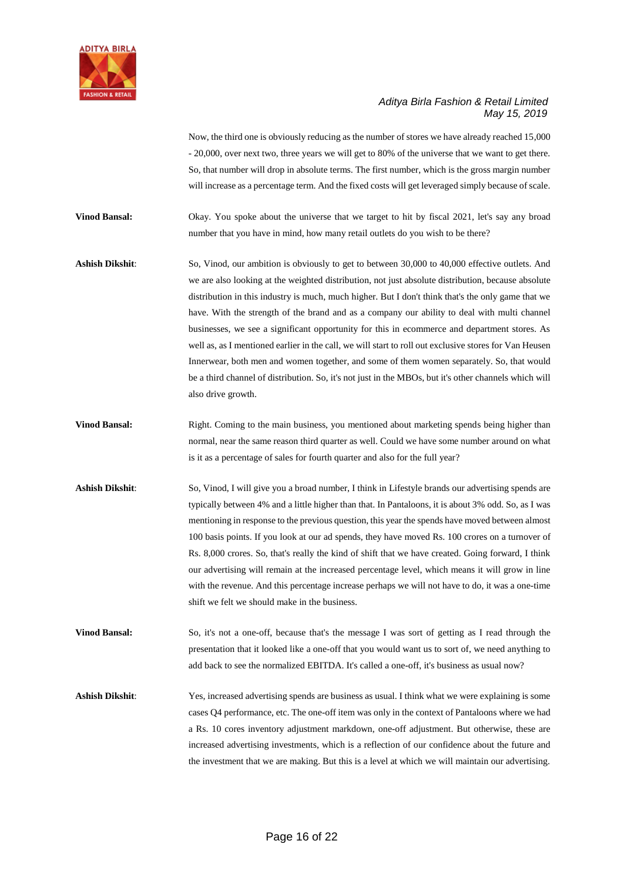

Now, the third one is obviously reducing as the number of stores we have already reached 15,000 - 20,000, over next two, three years we will get to 80% of the universe that we want to get there. So, that number will drop in absolute terms. The first number, which is the gross margin number will increase as a percentage term. And the fixed costs will get leveraged simply because of scale.

**Vinod Bansal:** Okay. You spoke about the universe that we target to hit by fiscal 2021, let's say any broad number that you have in mind, how many retail outlets do you wish to be there?

Ashish Dikshit: So, Vinod, our ambition is obviously to get to between 30,000 to 40,000 effective outlets. And we are also looking at the weighted distribution, not just absolute distribution, because absolute distribution in this industry is much, much higher. But I don't think that's the only game that we have. With the strength of the brand and as a company our ability to deal with multi channel businesses, we see a significant opportunity for this in ecommerce and department stores. As well as, as I mentioned earlier in the call, we will start to roll out exclusive stores for Van Heusen Innerwear, both men and women together, and some of them women separately. So, that would be a third channel of distribution. So, it's not just in the MBOs, but it's other channels which will also drive growth.

- **Vinod Bansal:** Right. Coming to the main business, you mentioned about marketing spends being higher than normal, near the same reason third quarter as well. Could we have some number around on what is it as a percentage of sales for fourth quarter and also for the full year?
- **Ashish Dikshit**: So, Vinod, I will give you a broad number, I think in Lifestyle brands our advertising spends are typically between 4% and a little higher than that. In Pantaloons, it is about 3% odd. So, as I was mentioning in response to the previous question, this year the spends have moved between almost 100 basis points. If you look at our ad spends, they have moved Rs. 100 crores on a turnover of Rs. 8,000 crores. So, that's really the kind of shift that we have created. Going forward, I think our advertising will remain at the increased percentage level, which means it will grow in line with the revenue. And this percentage increase perhaps we will not have to do, it was a one-time shift we felt we should make in the business.

**Vinod Bansal:** So, it's not a one-off, because that's the message I was sort of getting as I read through the presentation that it looked like a one-off that you would want us to sort of, we need anything to add back to see the normalized EBITDA. It's called a one-off, it's business as usual now?

**Ashish Dikshit**: Yes, increased advertising spends are business as usual. I think what we were explaining is some cases Q4 performance, etc. The one-off item was only in the context of Pantaloons where we had a Rs. 10 cores inventory adjustment markdown, one-off adjustment. But otherwise, these are increased advertising investments, which is a reflection of our confidence about the future and the investment that we are making. But this is a level at which we will maintain our advertising.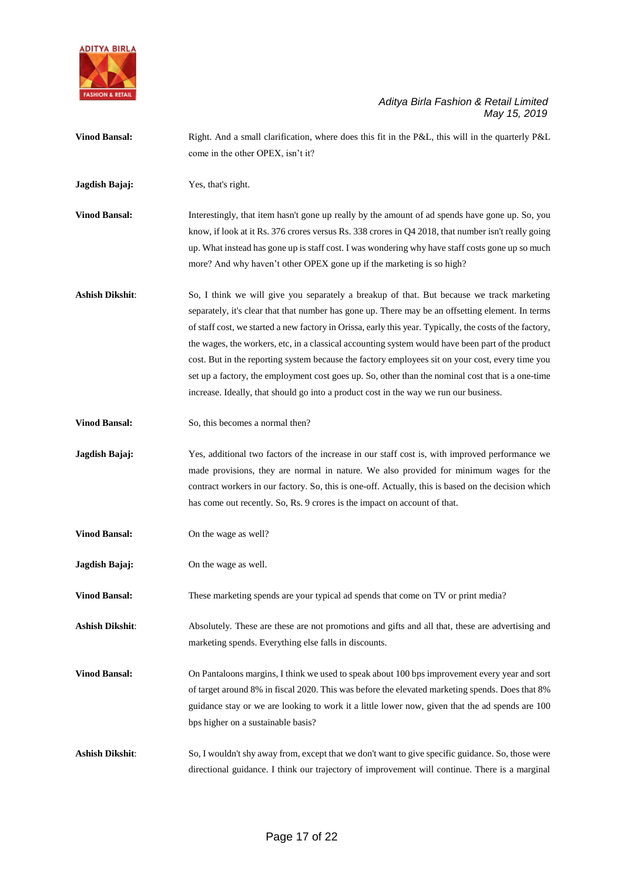

**Vinod Bansal:** Right. And a small clarification, where does this fit in the P&L, this will in the quarterly P&L come in the other OPEX, isn't it? **Jagdish Bajaj:** Yes, that's right. **Vinod Bansal:** Interestingly, that item hasn't gone up really by the amount of ad spends have gone up. So, you know, if look at it Rs. 376 crores versus Rs. 338 crores in Q4 2018, that number isn't really going up. What instead has gone up is staff cost. I was wondering why have staff costs gone up so much more? And why haven't other OPEX gone up if the marketing is so high? **Ashish Dikshit**: So, I think we will give you separately a breakup of that. But because we track marketing separately, it's clear that that number has gone up. There may be an offsetting element. In terms of staff cost, we started a new factory in Orissa, early this year. Typically, the costs of the factory, the wages, the workers, etc, in a classical accounting system would have been part of the product cost. But in the reporting system because the factory employees sit on your cost, every time you set up a factory, the employment cost goes up. So, other than the nominal cost that is a one-time increase. Ideally, that should go into a product cost in the way we run our business. **Vinod Bansal:** So, this becomes a normal then? **Jagdish Bajaj:** Yes, additional two factors of the increase in our staff cost is, with improved performance we made provisions, they are normal in nature. We also provided for minimum wages for the contract workers in our factory. So, this is one-off. Actually, this is based on the decision which has come out recently. So, Rs. 9 crores is the impact on account of that. **Vinod Bansal:** On the wage as well? **Jagdish Bajaj:** On the wage as well. **Vinod Bansal:** These marketing spends are your typical ad spends that come on TV or print media? **Ashish Dikshit**: Absolutely. These are these are not promotions and gifts and all that, these are advertising and marketing spends. Everything else falls in discounts. **Vinod Bansal:** On Pantaloons margins, I think we used to speak about 100 bps improvement every year and sort of target around 8% in fiscal 2020. This was before the elevated marketing spends. Does that 8% guidance stay or we are looking to work it a little lower now, given that the ad spends are 100 bps higher on a sustainable basis? **Ashish Dikshit**: So, I wouldn't shy away from, except that we don't want to give specific guidance. So, those were directional guidance. I think our trajectory of improvement will continue. There is a marginal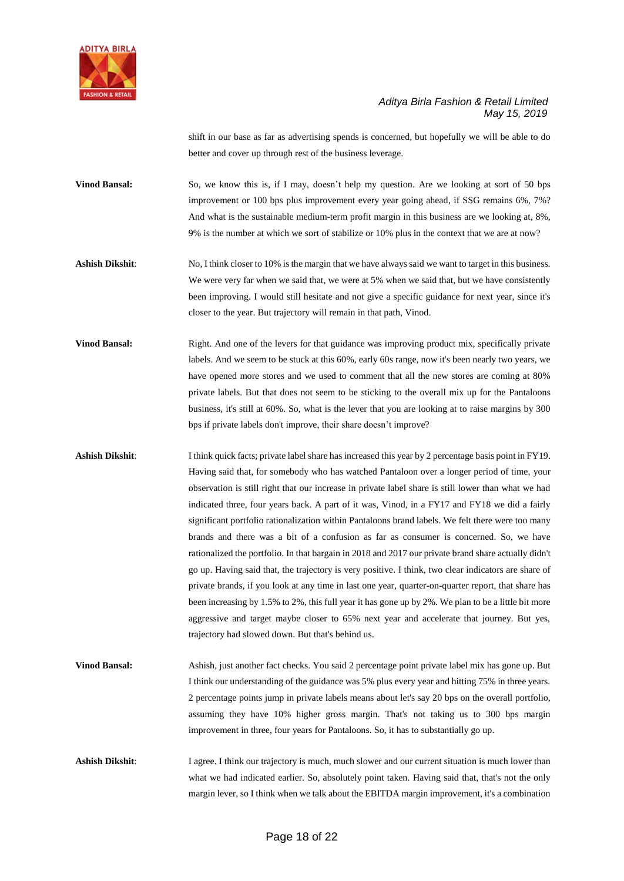

shift in our base as far as advertising spends is concerned, but hopefully we will be able to do better and cover up through rest of the business leverage.

**Vinod Bansal:** So, we know this is, if I may, doesn't help my question. Are we looking at sort of 50 bps improvement or 100 bps plus improvement every year going ahead, if SSG remains 6%, 7%? And what is the sustainable medium-term profit margin in this business are we looking at, 8%, 9% is the number at which we sort of stabilize or 10% plus in the context that we are at now?

**Ashish Dikshit**: No, I think closer to 10% is the margin that we have always said we want to target in this business. We were very far when we said that, we were at 5% when we said that, but we have consistently been improving. I would still hesitate and not give a specific guidance for next year, since it's closer to the year. But trajectory will remain in that path, Vinod.

**Vinod Bansal:** Right. And one of the levers for that guidance was improving product mix, specifically private labels. And we seem to be stuck at this 60%, early 60s range, now it's been nearly two years, we have opened more stores and we used to comment that all the new stores are coming at 80% private labels. But that does not seem to be sticking to the overall mix up for the Pantaloons business, it's still at 60%. So, what is the lever that you are looking at to raise margins by 300 bps if private labels don't improve, their share doesn't improve?

**Ashish Dikshit**: I think quick facts; private label share has increased this year by 2 percentage basis point in FY19. Having said that, for somebody who has watched Pantaloon over a longer period of time, your observation is still right that our increase in private label share is still lower than what we had indicated three, four years back. A part of it was, Vinod, in a FY17 and FY18 we did a fairly significant portfolio rationalization within Pantaloons brand labels. We felt there were too many brands and there was a bit of a confusion as far as consumer is concerned. So, we have rationalized the portfolio. In that bargain in 2018 and 2017 our private brand share actually didn't go up. Having said that, the trajectory is very positive. I think, two clear indicators are share of private brands, if you look at any time in last one year, quarter-on-quarter report, that share has been increasing by 1.5% to 2%, this full year it has gone up by 2%. We plan to be a little bit more aggressive and target maybe closer to 65% next year and accelerate that journey. But yes, trajectory had slowed down. But that's behind us.

**Vinod Bansal:** Ashish, just another fact checks. You said 2 percentage point private label mix has gone up. But I think our understanding of the guidance was 5% plus every year and hitting 75% in three years. 2 percentage points jump in private labels means about let's say 20 bps on the overall portfolio, assuming they have 10% higher gross margin. That's not taking us to 300 bps margin improvement in three, four years for Pantaloons. So, it has to substantially go up.

Ashish Dikshit: I agree. I think our trajectory is much, much slower and our current situation is much lower than what we had indicated earlier. So, absolutely point taken. Having said that, that's not the only margin lever, so I think when we talk about the EBITDA margin improvement, it's a combination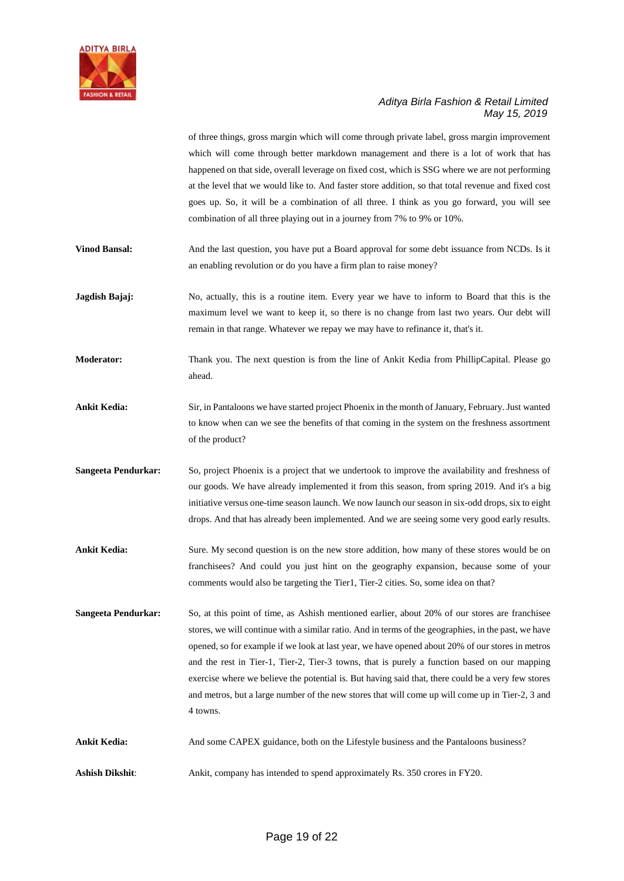

of three things, gross margin which will come through private label, gross margin improvement which will come through better markdown management and there is a lot of work that has happened on that side, overall leverage on fixed cost, which is SSG where we are not performing at the level that we would like to. And faster store addition, so that total revenue and fixed cost goes up. So, it will be a combination of all three. I think as you go forward, you will see combination of all three playing out in a journey from 7% to 9% or 10%.

**Vinod Bansal:** And the last question, you have put a Board approval for some debt issuance from NCDs. Is it an enabling revolution or do you have a firm plan to raise money?

**Jagdish Bajaj:** No, actually, this is a routine item. Every year we have to inform to Board that this is the maximum level we want to keep it, so there is no change from last two years. Our debt will remain in that range. Whatever we repay we may have to refinance it, that's it.

**Moderator:** Thank you. The next question is from the line of Ankit Kedia from PhillipCapital. Please go ahead.

**Ankit Kedia:** Sir, in Pantaloons we have started project Phoenix in the month of January, February. Just wanted to know when can we see the benefits of that coming in the system on the freshness assortment of the product?

**Sangeeta Pendurkar:** So, project Phoenix is a project that we undertook to improve the availability and freshness of our goods. We have already implemented it from this season, from spring 2019. And it's a big initiative versus one-time season launch. We now launch our season in six-odd drops, six to eight drops. And that has already been implemented. And we are seeing some very good early results.

**Ankit Kedia:** Sure. My second question is on the new store addition, how many of these stores would be on franchisees? And could you just hint on the geography expansion, because some of your comments would also be targeting the Tier1, Tier-2 cities. So, some idea on that?

**Sangeeta Pendurkar:** So, at this point of time, as Ashish mentioned earlier, about 20% of our stores are franchisee stores, we will continue with a similar ratio. And in terms of the geographies, in the past, we have opened, so for example if we look at last year, we have opened about 20% of our stores in metros and the rest in Tier-1, Tier-2, Tier-3 towns, that is purely a function based on our mapping exercise where we believe the potential is. But having said that, there could be a very few stores and metros, but a large number of the new stores that will come up will come up in Tier-2, 3 and 4 towns.

Ankit Kedia: And some CAPEX guidance, both on the Lifestyle business and the Pantaloons business?

**Ashish Dikshit**: Ankit, company has intended to spend approximately Rs. 350 crores in FY20.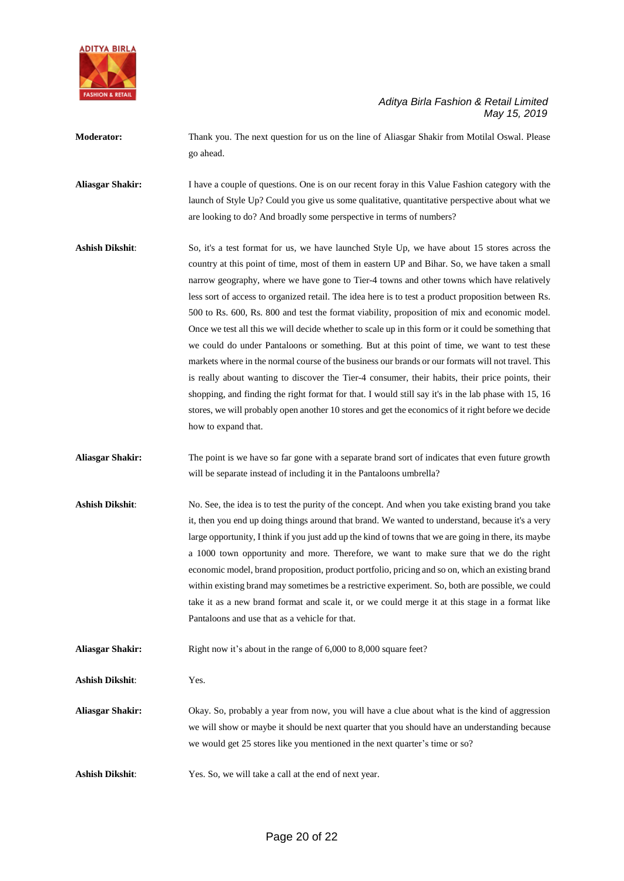

**Moderator:** Thank you. The next question for us on the line of Aliasgar Shakir from Motilal Oswal. Please go ahead.

**Aliasgar Shakir:** I have a couple of questions. One is on our recent foray in this Value Fashion category with the launch of Style Up? Could you give us some qualitative, quantitative perspective about what we are looking to do? And broadly some perspective in terms of numbers?

- **Ashish Dikshit**: So, it's a test format for us, we have launched Style Up, we have about 15 stores across the country at this point of time, most of them in eastern UP and Bihar. So, we have taken a small narrow geography, where we have gone to Tier-4 towns and other towns which have relatively less sort of access to organized retail. The idea here is to test a product proposition between Rs. 500 to Rs. 600, Rs. 800 and test the format viability, proposition of mix and economic model. Once we test all this we will decide whether to scale up in this form or it could be something that we could do under Pantaloons or something. But at this point of time, we want to test these markets where in the normal course of the business our brands or our formats will not travel. This is really about wanting to discover the Tier-4 consumer, their habits, their price points, their shopping, and finding the right format for that. I would still say it's in the lab phase with 15, 16 stores, we will probably open another 10 stores and get the economics of it right before we decide how to expand that.
- **Aliasgar Shakir:** The point is we have so far gone with a separate brand sort of indicates that even future growth will be separate instead of including it in the Pantaloons umbrella?
- **Ashish Dikshit**: No. See, the idea is to test the purity of the concept. And when you take existing brand you take it, then you end up doing things around that brand. We wanted to understand, because it's a very large opportunity, I think if you just add up the kind of towns that we are going in there, its maybe a 1000 town opportunity and more. Therefore, we want to make sure that we do the right economic model, brand proposition, product portfolio, pricing and so on, which an existing brand within existing brand may sometimes be a restrictive experiment. So, both are possible, we could take it as a new brand format and scale it, or we could merge it at this stage in a format like Pantaloons and use that as a vehicle for that.
- **Aliasgar Shakir:** Right now it's about in the range of 6,000 to 8,000 square feet?

**Ashish Dikshit**: Yes.

- **Aliasgar Shakir:** Okay. So, probably a year from now, you will have a clue about what is the kind of aggression we will show or maybe it should be next quarter that you should have an understanding because we would get 25 stores like you mentioned in the next quarter's time or so?
- **Ashish Dikshit**: Yes. So, we will take a call at the end of next year.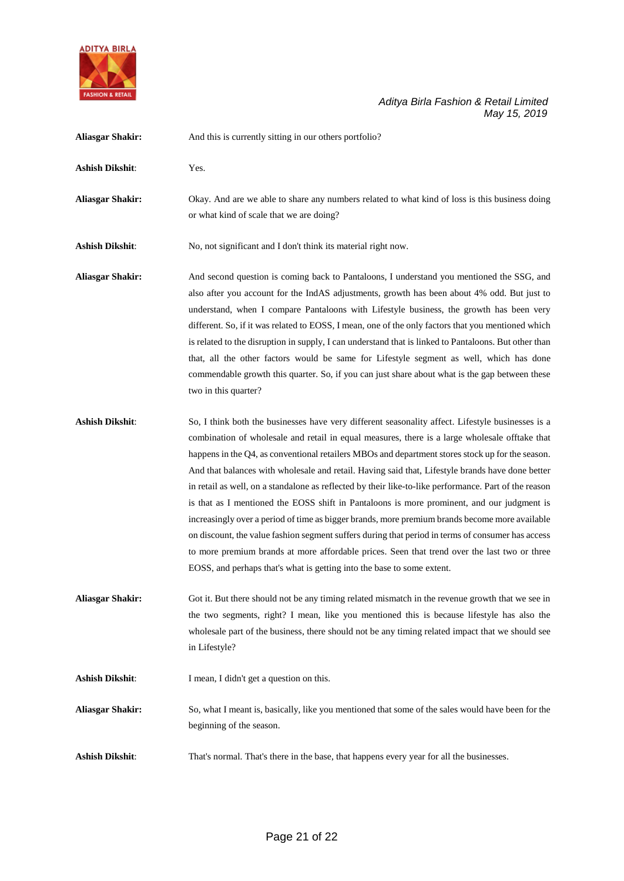

| <b>Aliasgar Shakir:</b> | And this is currently sitting in our others portfolio?                                                                                                                                                                                                                                                                                                                                                                                                                                                                                                                                                                                                                                                                                                                                                                                                                                                                                                                                              |
|-------------------------|-----------------------------------------------------------------------------------------------------------------------------------------------------------------------------------------------------------------------------------------------------------------------------------------------------------------------------------------------------------------------------------------------------------------------------------------------------------------------------------------------------------------------------------------------------------------------------------------------------------------------------------------------------------------------------------------------------------------------------------------------------------------------------------------------------------------------------------------------------------------------------------------------------------------------------------------------------------------------------------------------------|
| <b>Ashish Dikshit:</b>  | Yes.                                                                                                                                                                                                                                                                                                                                                                                                                                                                                                                                                                                                                                                                                                                                                                                                                                                                                                                                                                                                |
| <b>Aliasgar Shakir:</b> | Okay. And are we able to share any numbers related to what kind of loss is this business doing<br>or what kind of scale that we are doing?                                                                                                                                                                                                                                                                                                                                                                                                                                                                                                                                                                                                                                                                                                                                                                                                                                                          |
| <b>Ashish Dikshit:</b>  | No, not significant and I don't think its material right now.                                                                                                                                                                                                                                                                                                                                                                                                                                                                                                                                                                                                                                                                                                                                                                                                                                                                                                                                       |
| <b>Aliasgar Shakir:</b> | And second question is coming back to Pantaloons, I understand you mentioned the SSG, and<br>also after you account for the IndAS adjustments, growth has been about 4% odd. But just to<br>understand, when I compare Pantaloons with Lifestyle business, the growth has been very<br>different. So, if it was related to EOSS, I mean, one of the only factors that you mentioned which<br>is related to the disruption in supply, I can understand that is linked to Pantaloons. But other than<br>that, all the other factors would be same for Lifestyle segment as well, which has done<br>commendable growth this quarter. So, if you can just share about what is the gap between these<br>two in this quarter?                                                                                                                                                                                                                                                                             |
| <b>Ashish Dikshit:</b>  | So, I think both the businesses have very different seasonality affect. Lifestyle businesses is a<br>combination of wholesale and retail in equal measures, there is a large wholesale offtake that<br>happens in the Q4, as conventional retailers MBOs and department stores stock up for the season.<br>And that balances with wholesale and retail. Having said that, Lifestyle brands have done better<br>in retail as well, on a standalone as reflected by their like-to-like performance. Part of the reason<br>is that as I mentioned the EOSS shift in Pantaloons is more prominent, and our judgment is<br>increasingly over a period of time as bigger brands, more premium brands become more available<br>on discount, the value fashion segment suffers during that period in terms of consumer has access<br>to more premium brands at more affordable prices. Seen that trend over the last two or three<br>EOSS, and perhaps that's what is getting into the base to some extent. |
| <b>Aliasgar Shakir:</b> | Got it. But there should not be any timing related mismatch in the revenue growth that we see in<br>the two segments, right? I mean, like you mentioned this is because lifestyle has also the<br>wholesale part of the business, there should not be any timing related impact that we should see<br>in Lifestyle?                                                                                                                                                                                                                                                                                                                                                                                                                                                                                                                                                                                                                                                                                 |
| Ashish Dikshit:         | I mean, I didn't get a question on this.                                                                                                                                                                                                                                                                                                                                                                                                                                                                                                                                                                                                                                                                                                                                                                                                                                                                                                                                                            |
| <b>Aliasgar Shakir:</b> | So, what I meant is, basically, like you mentioned that some of the sales would have been for the<br>beginning of the season.                                                                                                                                                                                                                                                                                                                                                                                                                                                                                                                                                                                                                                                                                                                                                                                                                                                                       |
| <b>Ashish Dikshit:</b>  | That's normal. That's there in the base, that happens every year for all the businesses.                                                                                                                                                                                                                                                                                                                                                                                                                                                                                                                                                                                                                                                                                                                                                                                                                                                                                                            |